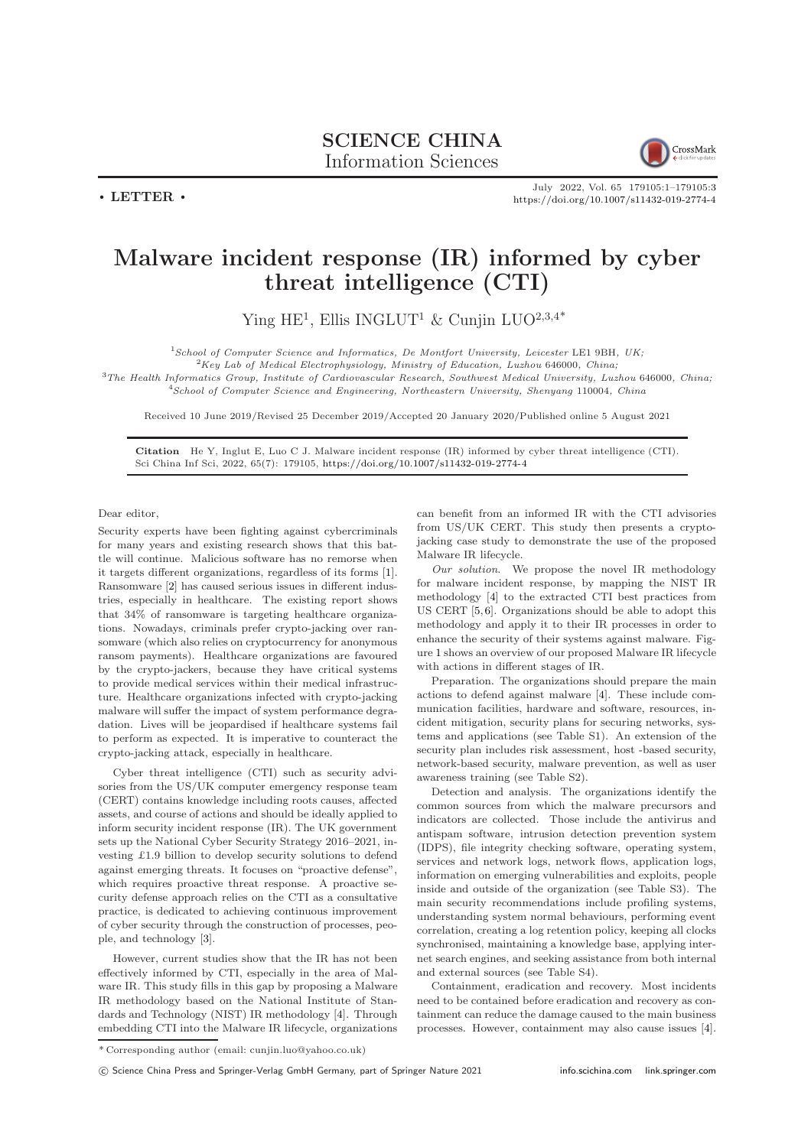## SCIENCE CHINA Information Sciences



July 2022, Vol. 65 179105:1–179105[:3](#page-2-0) <https://doi.org/10.1007/s11432-019-2774-4>

## Malware incident response (IR) informed by cyber threat intelligence (CTI)

Ying HE<sup>1</sup>, Ellis INGLUT<sup>1</sup> & Cunjin LUO<sup>2,3,4\*</sup>

 $1$ School of Computer Science and Informatics, De Montfort University, Leicester LE1 9BH, UK;

 ${}^{2}$ Key Lab of Medical Electrophysiology, Ministry of Education, Luzhou 646000, China;

<sup>3</sup>The Health Informatics Group, Institute of Cardiovascular Research, Southwest Medical University, Luzhou 646000, China; <sup>4</sup>School of Computer Science and Engineering, Northeastern University, Shenyang 110004, China

Received 10 June 2019/Revised 25 December 2019/Accepted 20 January 2020/Published online 5 August 2021

Citation He Y, Inglut E, Luo C J. Malware incident response (IR) informed by cyber threat intelligence (CTI). Sci China Inf Sci, 2022, 65(7): 179105, <https://doi.org/10.1007/s11432-019-2774-4>

Dear editor,

 $\cdot$  LETTER  $\cdot$ 

Security experts have been fighting against cybercriminals for many years and existing research shows that this battle will continue. Malicious software has no remorse when it targets different organizations, regardless of its forms [\[1\]](#page-2-1). Ransomware [\[2\]](#page-2-2) has caused serious issues in different industries, especially in healthcare. The existing report shows that 34% of ransomware is targeting healthcare organizations. Nowadays, criminals prefer crypto-jacking over ransomware (which also relies on cryptocurrency for anonymous ransom payments). Healthcare organizations are favoured by the crypto-jackers, because they have critical systems to provide medical services within their medical infrastructure. Healthcare organizations infected with crypto-jacking malware will suffer the impact of system performance degradation. Lives will be jeopardised if healthcare systems fail to perform as expected. It is imperative to counteract the crypto-jacking attack, especially in healthcare.

Cyber threat intelligence (CTI) such as security advisories from the US/UK computer emergency response team (CERT) contains knowledge including roots causes, affected assets, and course of actions and should be ideally applied to inform security incident response (IR). The UK government sets up the National Cyber Security Strategy 2016–2021, investing £1.9 billion to develop security solutions to defend against emerging threats. It focuses on "proactive defense", which requires proactive threat response. A proactive security defense approach relies on the CTI as a consultative practice, is dedicated to achieving continuous improvement of cyber security through the construction of processes, people, and technology [\[3\]](#page-2-3).

However, current studies show that the IR has not been effectively informed by CTI, especially in the area of Malware IR. This study fills in this gap by proposing a Malware IR methodology based on the National Institute of Standards and Technology (NIST) IR methodology [\[4\]](#page-2-4). Through embedding CTI into the Malware IR lifecycle, organizations can benefit from an informed IR with the CTI advisories from US/UK CERT. This study then presents a cryptojacking case study to demonstrate the use of the proposed Malware IR lifecycle.

Our solution. We propose the novel IR methodology for malware incident response, by mapping the NIST IR methodology [\[4\]](#page-2-4) to the extracted CTI best practices from US CERT [\[5,](#page-2-5)[6\]](#page-2-6). Organizations should be able to adopt this methodology and apply it to their IR processes in order to enhance the security of their systems against malware. Figure [1](#page-1-0) shows an overview of our proposed Malware IR lifecycle with actions in different stages of IR.

Preparation. The organizations should prepare the main actions to defend against malware [\[4\]](#page-2-4). These include communication facilities, hardware and software, resources, incident mitigation, security plans for securing networks, systems and applications (see Table S1). An extension of the security plan includes risk assessment, host -based security, network-based security, malware prevention, as well as user awareness training (see Table S2).

Detection and analysis. The organizations identify the common sources from which the malware precursors and indicators are collected. Those include the antivirus and antispam software, intrusion detection prevention system (IDPS), file integrity checking software, operating system, services and network logs, network flows, application logs, information on emerging vulnerabilities and exploits, people inside and outside of the organization (see Table S3). The main security recommendations include profiling systems, understanding system normal behaviours, performing event correlation, creating a log retention policy, keeping all clocks synchronised, maintaining a knowledge base, applying internet search engines, and seeking assistance from both internal and external sources (see Table S4).

Containment, eradication and recovery. Most incidents need to be contained before eradication and recovery as containment can reduce the damage caused to the main business processes. However, containment may also cause issues [\[4\]](#page-2-4).

c Science China Press and Springer-Verlag GmbH Germany, part of Springer Nature 2021 <info.scichina.com><link.springer.com>

 $^\ast$  Corresponding author (email: <code>cunjin.luo@yahoo.co.uk)</code>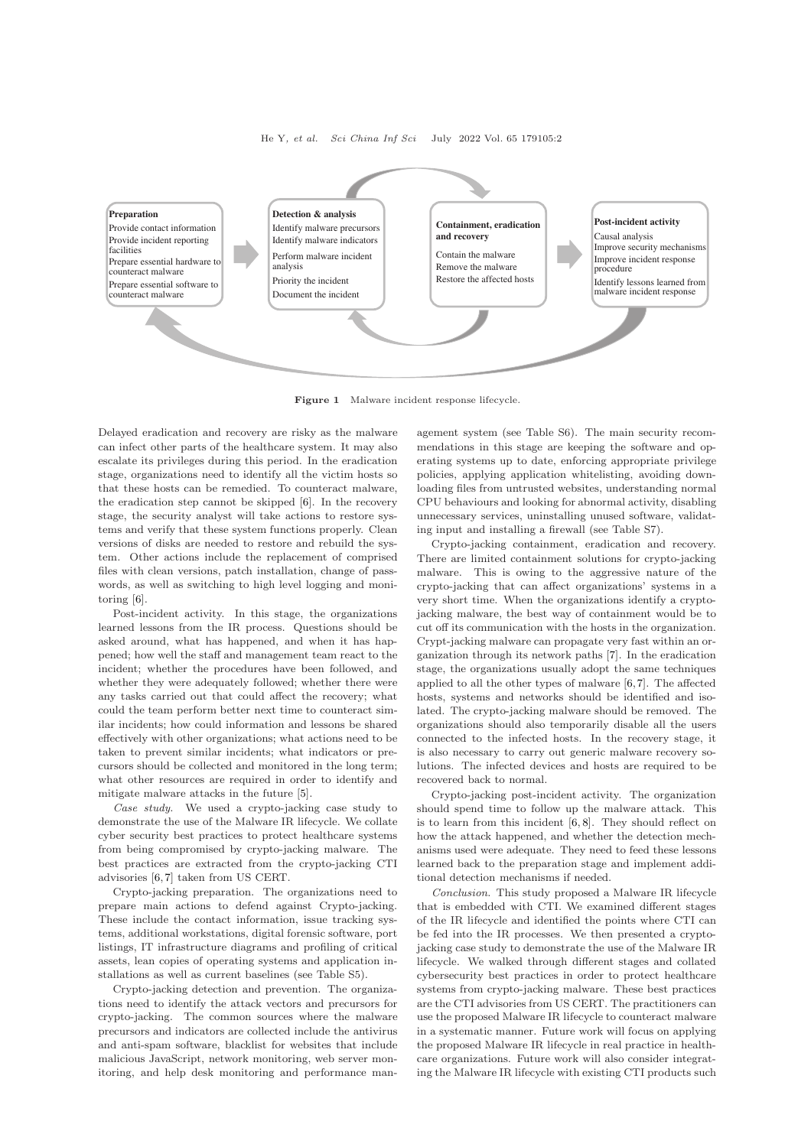He Y, et al. Sci China Inf Sci July 2022 Vol. 65 179105:2

<span id="page-1-0"></span>

Figure 1 Malware incident response lifecycle.

Delayed eradication and recovery are risky as the malware can infect other parts of the healthcare system. It may also escalate its privileges during this period. In the eradication stage, organizations need to identify all the victim hosts so that these hosts can be remedied. To counteract malware, the eradication step cannot be skipped [\[6\]](#page-2-6). In the recovery stage, the security analyst will take actions to restore systems and verify that these system functions properly. Clean versions of disks are needed to restore and rebuild the system. Other actions include the replacement of comprised files with clean versions, patch installation, change of passwords, as well as switching to high level logging and monitoring [\[6\]](#page-2-6).

Post-incident activity. In this stage, the organizations learned lessons from the IR process. Questions should be asked around, what has happened, and when it has happened; how well the staff and management team react to the incident; whether the procedures have been followed, and whether they were adequately followed; whether there were any tasks carried out that could affect the recovery; what could the team perform better next time to counteract similar incidents; how could information and lessons be shared effectively with other organizations; what actions need to be taken to prevent similar incidents; what indicators or precursors should be collected and monitored in the long term; what other resources are required in order to identify and mitigate malware attacks in the future [\[5\]](#page-2-5).

Case study. We used a crypto-jacking case study to demonstrate the use of the Malware IR lifecycle. We collate cyber security best practices to protect healthcare systems from being compromised by crypto-jacking malware. The best practices are extracted from the crypto-jacking CTI advisories [\[6,](#page-2-6) [7\]](#page-2-7) taken from US CERT.

Crypto-jacking preparation. The organizations need to prepare main actions to defend against Crypto-jacking. These include the contact information, issue tracking systems, additional workstations, digital forensic software, port listings, IT infrastructure diagrams and profiling of critical assets, lean copies of operating systems and application installations as well as current baselines (see Table S5).

Crypto-jacking detection and prevention. The organizations need to identify the attack vectors and precursors for crypto-jacking. The common sources where the malware precursors and indicators are collected include the antivirus and anti-spam software, blacklist for websites that include malicious JavaScript, network monitoring, web server monitoring, and help desk monitoring and performance management system (see Table S6). The main security recommendations in this stage are keeping the software and operating systems up to date, enforcing appropriate privilege policies, applying application whitelisting, avoiding downloading files from untrusted websites, understanding normal CPU behaviours and looking for abnormal activity, disabling unnecessary services, uninstalling unused software, validating input and installing a firewall (see Table S7).

Crypto-jacking containment, eradication and recovery. There are limited containment solutions for crypto-jacking malware. This is owing to the aggressive nature of the crypto-jacking that can affect organizations' systems in a very short time. When the organizations identify a cryptojacking malware, the best way of containment would be to cut off its communication with the hosts in the organization. Crypt-jacking malware can propagate very fast within an organization through its network paths [\[7\]](#page-2-7). In the eradication stage, the organizations usually adopt the same techniques applied to all the other types of malware [\[6,](#page-2-6)[7\]](#page-2-7). The affected hosts, systems and networks should be identified and isolated. The crypto-jacking malware should be removed. The organizations should also temporarily disable all the users connected to the infected hosts. In the recovery stage, it is also necessary to carry out generic malware recovery solutions. The infected devices and hosts are required to be recovered back to normal.

Crypto-jacking post-incident activity. The organization should spend time to follow up the malware attack. This is to learn from this incident [\[6,](#page-2-6) [8\]](#page-2-8). They should reflect on how the attack happened, and whether the detection mechanisms used were adequate. They need to feed these lessons learned back to the preparation stage and implement additional detection mechanisms if needed.

Conclusion. This study proposed a Malware IR lifecycle that is embedded with CTI. We examined different stages of the IR lifecycle and identified the points where CTI can be fed into the IR processes. We then presented a cryptojacking case study to demonstrate the use of the Malware IR lifecycle. We walked through different stages and collated cybersecurity best practices in order to protect healthcare systems from crypto-jacking malware. These best practices are the CTI advisories from US CERT. The practitioners can use the proposed Malware IR lifecycle to counteract malware in a systematic manner. Future work will focus on applying the proposed Malware IR lifecycle in real practice in healthcare organizations. Future work will also consider integrating the Malware IR lifecycle with existing CTI products such